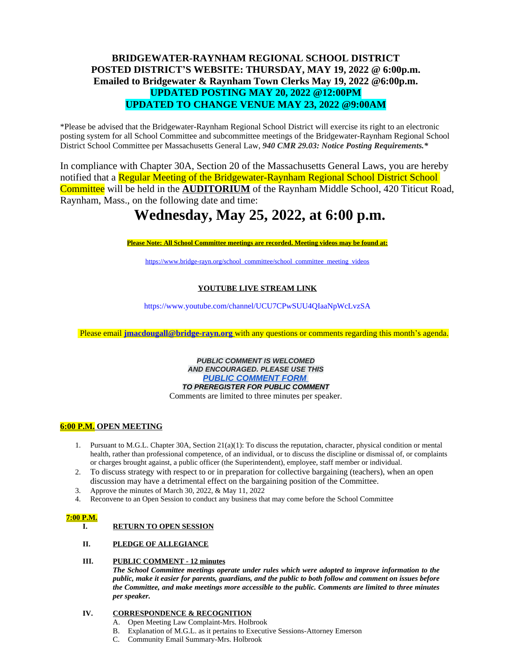# **BRIDGEWATER-RAYNHAM REGIONAL SCHOOL DISTRICT POSTED DISTRICT'S WEBSITE: THURSDAY, MAY 19, 2022 @ 6:00p.m. Emailed to Bridgewater & Raynham Town Clerks May 19, 2022 @6:00p.m. UPDATED POSTING MAY 20, 2022 @12:00PM UPDATED TO CHANGE VENUE MAY 23, 2022 @9:00AM**

\*Please be advised that the Bridgewater-Raynham Regional School District will exercise its right to an electronic posting system for all School Committee and subcommittee meetings of the Bridgewater-Raynham Regional School District School Committee per Massachusetts General Law, *940 CMR 29.03: Notice Posting Requirements.\**

In compliance with Chapter 30A, Section 20 of the Massachusetts General Laws, you are hereby notified that a Regular Meeting of the Bridgewater-Raynham Regional School District School Committee will be held in the **AUDITORIUM** of the Raynham Middle School, 420 Titicut Road, Raynham, Mass., on the following date and time:

# **Wednesday, May 25, 2022, at 6:00 p.m.**

**Please Note: All School Committee meetings are recorded. Meeting videos may be found at:**

https:/[/www.bridge-rayn.org/school\\_committee/school\\_committee\\_meeting\\_videos](http://www.bridge-rayn.org/school_committee/school_committee_meeting_videos)

## **YOUTUBE LIVE STREAM LINK**

https[://www.y](http://www.youtube.com/channel/UCU7CPwSUU4QIaaNpWcLvzSA)o[utube.com/channel/UCU7CPwSUU4QIaaNpWcLvzSA](http://www.youtube.com/channel/UCU7CPwSUU4QIaaNpWcLvzSA)

Please email **[jmacdougall@bridge-rayn.org](mailto:jmacdougall@bridge-rayn.org)** with any questions or comments regarding this month's agenda.

*PUBLIC COMMENT IS WELCOMED AND ENCOURAGED. PLEASE USE THIS [PUBLIC COMMENT FORM](https://docs.google.com/forms/d/10IistKh460cyGIjmQyltl0xIBi_3Kk56v1GCDUae0Z8/edit)  TO PREREGISTER FOR PUBLIC COMMENT* Comments are limited to three minutes per speaker.

### **6:00 P.M. OPEN MEETING**

- 1. Pursuant to M.G.L. Chapter 30A, Section 21(a)(1): To discuss the reputation, character, physical condition or mental health, rather than professional competence, of an individual, or to discuss the discipline or dismissal of, or complaints or charges brought against, a public officer (the Superintendent), employee, staff member or individual.
- 2. To discuss strategy with respect to or in preparation for collective bargaining (teachers), when an open discussion may have a detrimental effect on the bargaining position of the Committee.
- 3. Approve the minutes of March 30, 2022, & May 11, 2022
- 4. Reconvene to an Open Session to conduct any business that may come before the School Committee

#### **7:00 P.M.**

#### **I. RETURN TO OPEN SESSION**

**II. PLEDGE OF ALLEGIANCE**

#### **III. PUBLIC COMMENT - 12 minutes**

*The School Committee meetings operate under rules which were adopted to improve information to the* public, make it easier for parents, guardians, and the public to both follow and comment on issues before *the Committee, and make meetings more accessible to the public. Comments are limited to three minutes per speaker.*

#### **IV. CORRESPONDENCE & RECOGNITION**

- A. Open Meeting Law Complaint-Mrs. Holbrook
- B. Explanation of M.G.L. as it pertains to Executive Sessions-Attorney Emerson
- C. Community Email Summary-Mrs. Holbrook